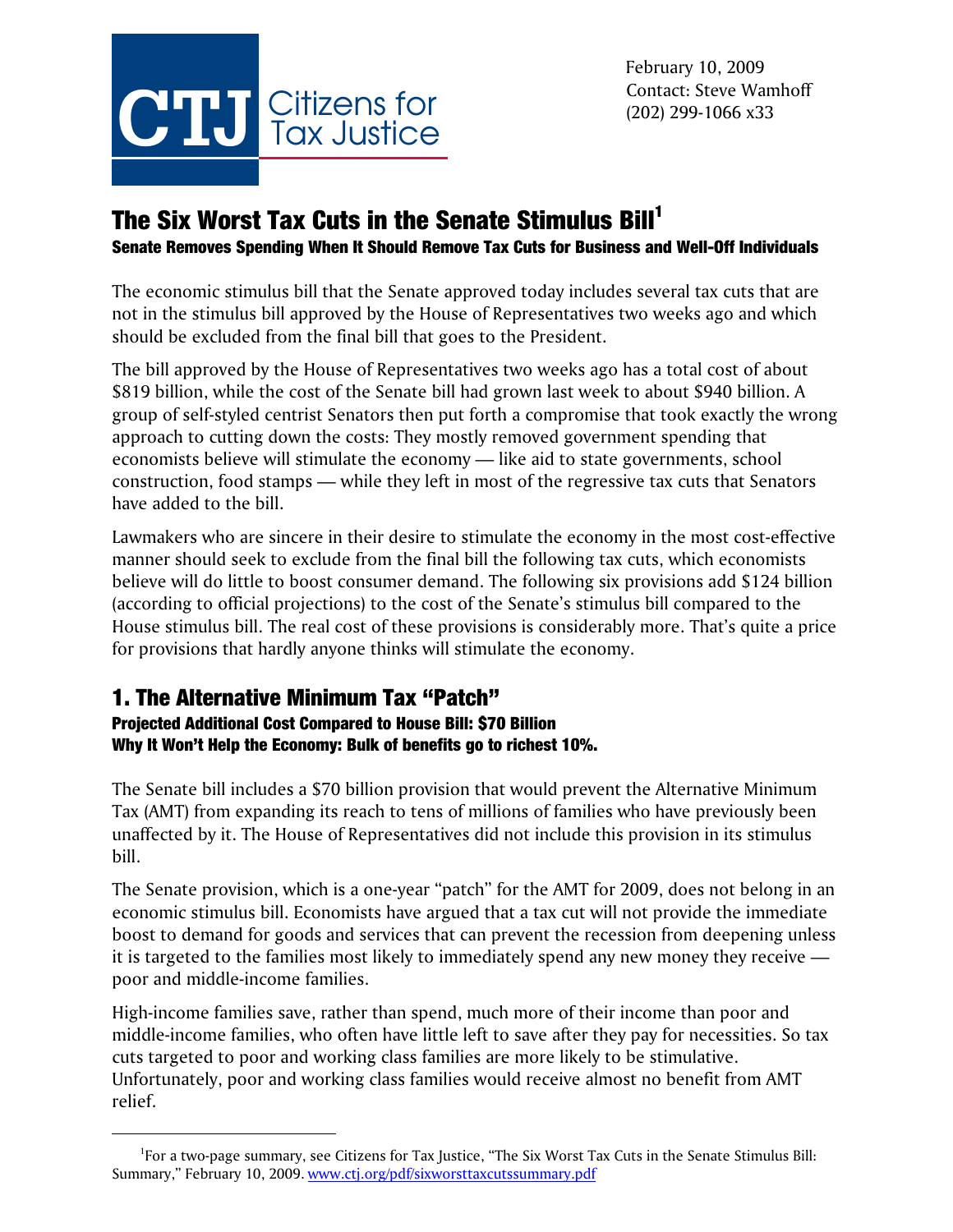

# The Six Worst Tax Cuts in the Senate Stimulus Bill<sup>1</sup>

Senate Removes Spending When It Should Remove Tax Cuts for Business and Well-Off Individuals

The economic stimulus bill that the Senate approved today includes several tax cuts that are not in the stimulus bill approved by the House of Representatives two weeks ago and which should be excluded from the final bill that goes to the President.

The bill approved by the House of Representatives two weeks ago has a total cost of about \$819 billion, while the cost of the Senate bill had grown last week to about \$940 billion. A group of self-styled centrist Senators then put forth a compromise that took exactly the wrong approach to cutting down the costs: They mostly removed government spending that economists believe will stimulate the economy — like aid to state governments, school construction, food stamps — while they left in most of the regressive tax cuts that Senators have added to the bill.

Lawmakers who are sincere in their desire to stimulate the economy in the most cost-effective manner should seek to exclude from the final bill the following tax cuts, which economists believe will do little to boost consumer demand. The following six provisions add \$124 billion (according to official projections) to the cost of the Senate's stimulus bill compared to the House stimulus bill. The real cost of these provisions is considerably more. That's quite a price for provisions that hardly anyone thinks will stimulate the economy.

## 1. The Alternative Minimum Tax "Patch"

### Projected Additional Cost Compared to House Bill: \$70 Billion Why It Won't Help the Economy: Bulk of benefits go to richest 10%.

The Senate bill includes a \$70 billion provision that would prevent the Alternative Minimum Tax (AMT) from expanding its reach to tens of millions of families who have previously been unaffected by it. The House of Representatives did not include this provision in its stimulus bill.

The Senate provision, which is a one-year "patch" for the AMT for 2009, does not belong in an economic stimulus bill. Economists have argued that a tax cut will not provide the immediate boost to demand for goods and services that can prevent the recession from deepening unless it is targeted to the families most likely to immediately spend any new money they receive poor and middle-income families.

High-income families save, rather than spend, much more of their income than poor and middle-income families, who often have little left to save after they pay for necessities. So tax cuts targeted to poor and working class families are more likely to be stimulative. Unfortunately, poor and working class families would receive almost no benefit from AMT relief.

<sup>&</sup>lt;sup>1</sup>For a two-page summary, see Citizens for Tax Justice, "The Six Worst Tax Cuts in the Senate Stimulus Bill: Summary," February 10, 2009. www.ctj.org/pdf/sixworsttaxcutssummary.pdf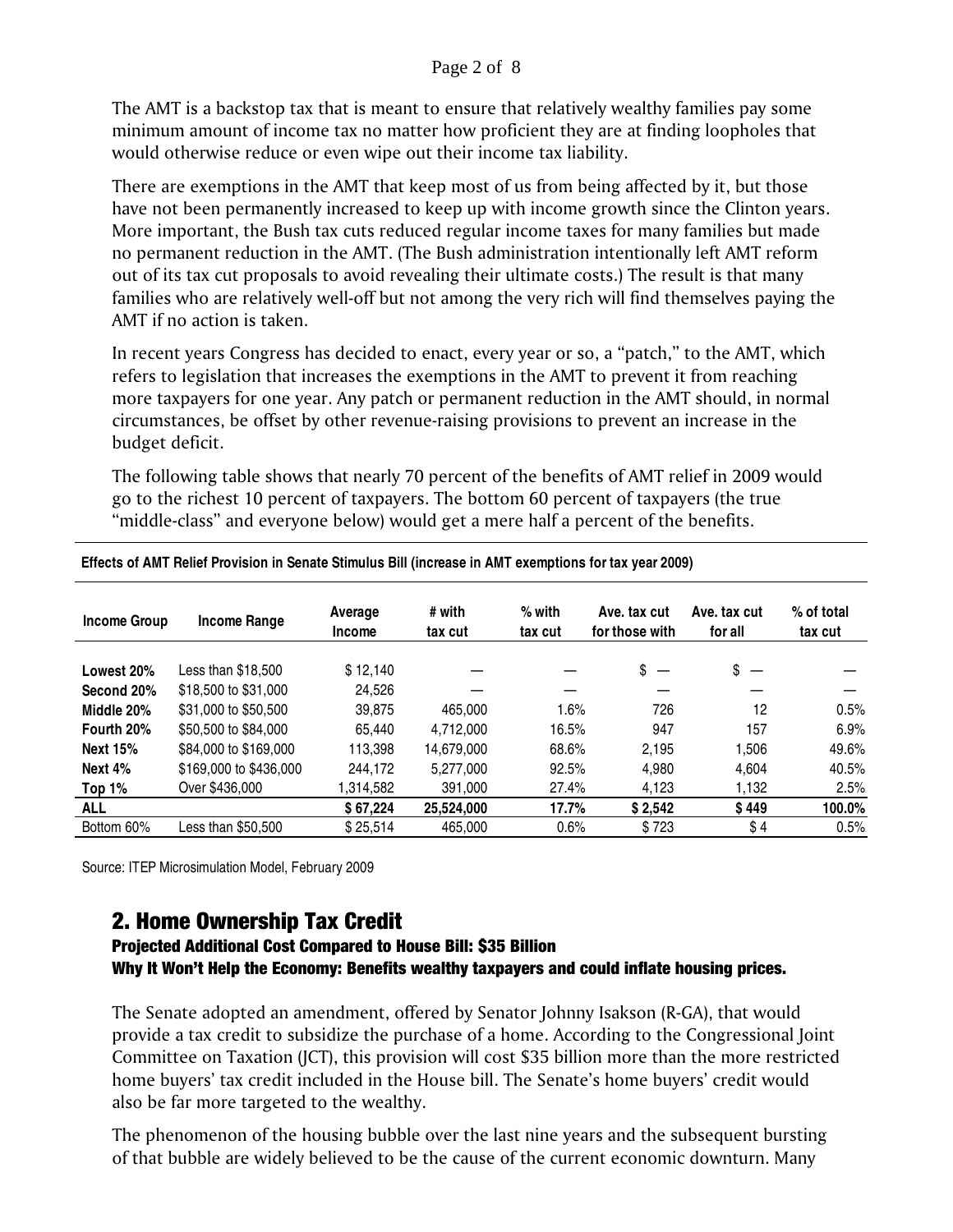#### Page 2 of 8

The AMT is a backstop tax that is meant to ensure that relatively wealthy families pay some minimum amount of income tax no matter how proficient they are at finding loopholes that would otherwise reduce or even wipe out their income tax liability.

There are exemptions in the AMT that keep most of us from being affected by it, but those have not been permanently increased to keep up with income growth since the Clinton years. More important, the Bush tax cuts reduced regular income taxes for many families but made no permanent reduction in the AMT. (The Bush administration intentionally left AMT reform out of its tax cut proposals to avoid revealing their ultimate costs.) The result is that many families who are relatively well-off but not among the very rich will find themselves paying the AMT if no action is taken.

In recent years Congress has decided to enact, every year or so, a "patch," to the AMT, which refers to legislation that increases the exemptions in the AMT to prevent it from reaching more taxpayers for one year. Any patch or permanent reduction in the AMT should, in normal circumstances, be offset by other revenue-raising provisions to prevent an increase in the budget deficit.

The following table shows that nearly 70 percent of the benefits of AMT relief in 2009 would go to the richest 10 percent of taxpayers. The bottom 60 percent of taxpayers (the true "middle-class" and everyone below) would get a mere half a percent of the benefits.

| <b>Income Group</b> | Income Range           | Average<br><b>Income</b> | # with<br>tax cut | $%$ with<br>tax cut | Ave. tax cut<br>for those with | Ave. tax cut<br>for all        | % of total<br>tax cut |
|---------------------|------------------------|--------------------------|-------------------|---------------------|--------------------------------|--------------------------------|-----------------------|
| Lowest 20%          | Less than \$18,500     | \$12.140                 |                   |                     | \$                             | \$<br>$\overline{\phantom{a}}$ |                       |
| Second 20%          | \$18,500 to \$31,000   | 24.526                   |                   |                     |                                |                                |                       |
| Middle 20%          | \$31,000 to \$50,500   | 39.875                   | 465,000           | 1.6%                | 726                            | 12                             | 0.5%                  |
| Fourth 20%          | \$50,500 to \$84,000   | 65.440                   | 4,712,000         | 16.5%               | 947                            | 157                            | 6.9%                  |
| <b>Next 15%</b>     | \$84,000 to \$169,000  | 113.398                  | 14.679.000        | 68.6%               | 2.195                          | 1.506                          | 49.6%                 |
| Next 4%             | \$169,000 to \$436,000 | 244.172                  | 5.277.000         | 92.5%               | 4,980                          | 4.604                          | 40.5%                 |
| Top 1%              | Over \$436,000         | 1,314,582                | 391.000           | 27.4%               | 4,123                          | 1,132                          | 2.5%                  |
| <b>ALL</b>          |                        | \$67,224                 | 25.524.000        | 17.7%               | \$2,542                        | \$449                          | 100.0%                |
| Bottom 60%          | Less than \$50.500     | \$25.514                 | 465,000           | 0.6%                | \$723                          | \$4                            | 0.5%                  |

 **Effects of AMT Relief Provision in Senate Stimulus Bill (increase in AMT exemptions for tax year 2009)** 

Source: ITEP Microsimulation Model, February 2009

### 2. Home Ownership Tax Credit

### Projected Additional Cost Compared to House Bill: \$35 Billion Why It Won't Help the Economy: Benefits wealthy taxpayers and could inflate housing prices.

The Senate adopted an amendment, offered by Senator Johnny Isakson (R-GA), that would provide a tax credit to subsidize the purchase of a home. According to the Congressional Joint Committee on Taxation (JCT), this provision will cost \$35 billion more than the more restricted home buyers' tax credit included in the House bill. The Senate's home buyers' credit would also be far more targeted to the wealthy.

The phenomenon of the housing bubble over the last nine years and the subsequent bursting of that bubble are widely believed to be the cause of the current economic downturn. Many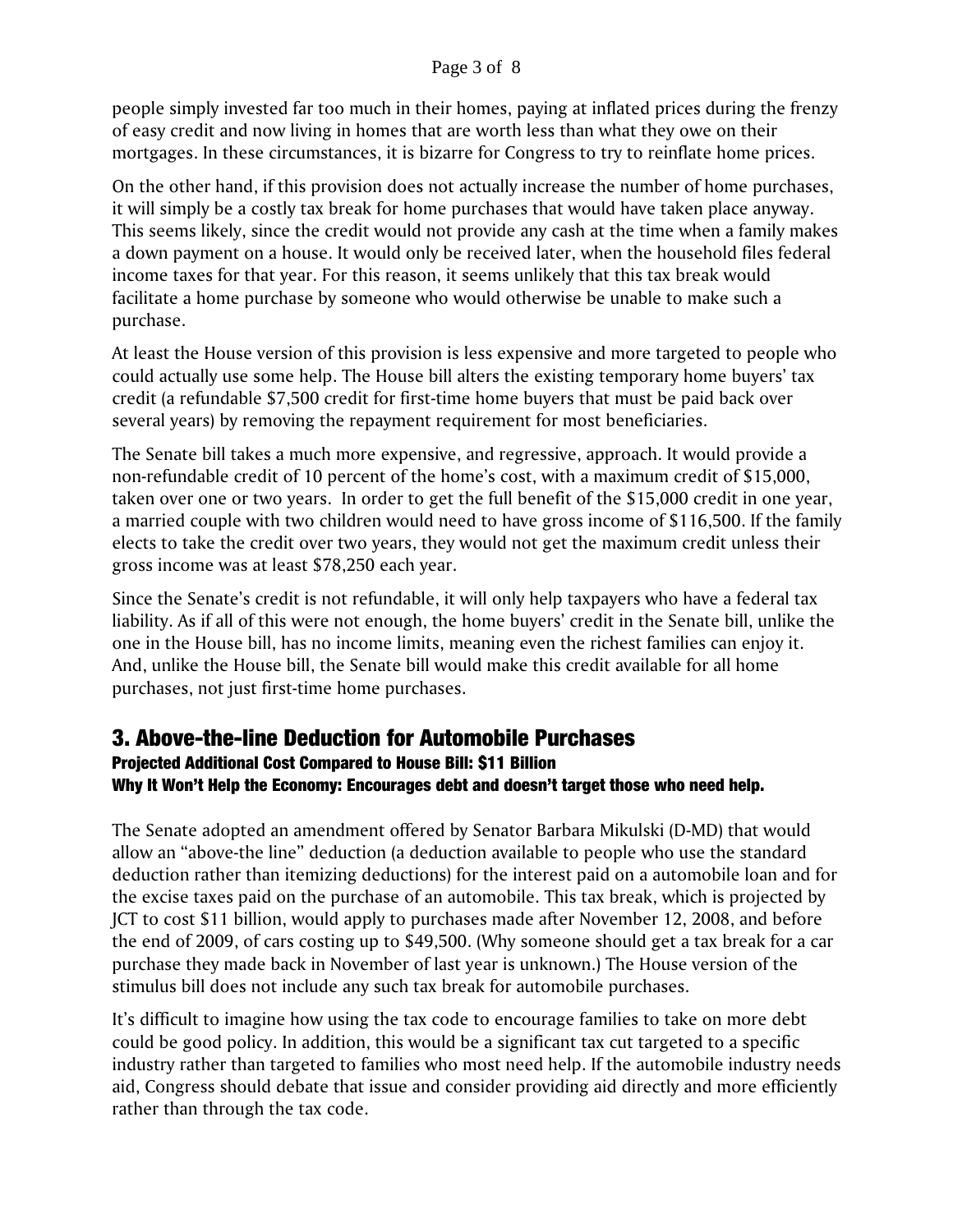#### Page 3 of 8

people simply invested far too much in their homes, paying at inflated prices during the frenzy of easy credit and now living in homes that are worth less than what they owe on their mortgages. In these circumstances, it is bizarre for Congress to try to reinflate home prices.

On the other hand, if this provision does not actually increase the number of home purchases, it will simply be a costly tax break for home purchases that would have taken place anyway. This seems likely, since the credit would not provide any cash at the time when a family makes a down payment on a house. It would only be received later, when the household files federal income taxes for that year. For this reason, it seems unlikely that this tax break would facilitate a home purchase by someone who would otherwise be unable to make such a purchase.

At least the House version of this provision is less expensive and more targeted to people who could actually use some help. The House bill alters the existing temporary home buyers' tax credit (a refundable \$7,500 credit for first-time home buyers that must be paid back over several years) by removing the repayment requirement for most beneficiaries.

The Senate bill takes a much more expensive, and regressive, approach. It would provide a non-refundable credit of 10 percent of the home's cost, with a maximum credit of \$15,000, taken over one or two years. In order to get the full benefit of the \$15,000 credit in one year, a married couple with two children would need to have gross income of \$116,500. If the family elects to take the credit over two years, they would not get the maximum credit unless their gross income was at least \$78,250 each year.

Since the Senate's credit is not refundable, it will only help taxpayers who have a federal tax liability. As if all of this were not enough, the home buyers' credit in the Senate bill, unlike the one in the House bill, has no income limits, meaning even the richest families can enjoy it. And, unlike the House bill, the Senate bill would make this credit available for all home purchases, not just first-time home purchases.

### 3. Above-the-line Deduction for Automobile Purchases

## Projected Additional Cost Compared to House Bill: \$11 Billion

### Why It Won't Help the Economy: Encourages debt and doesn't target those who need help.

The Senate adopted an amendment offered by Senator Barbara Mikulski (D-MD) that would allow an "above-the line" deduction (a deduction available to people who use the standard deduction rather than itemizing deductions) for the interest paid on a automobile loan and for the excise taxes paid on the purchase of an automobile. This tax break, which is projected by JCT to cost \$11 billion, would apply to purchases made after November 12, 2008, and before the end of 2009, of cars costing up to \$49,500. (Why someone should get a tax break for a car purchase they made back in November of last year is unknown.) The House version of the stimulus bill does not include any such tax break for automobile purchases.

It's difficult to imagine how using the tax code to encourage families to take on more debt could be good policy. In addition, this would be a significant tax cut targeted to a specific industry rather than targeted to families who most need help. If the automobile industry needs aid, Congress should debate that issue and consider providing aid directly and more efficiently rather than through the tax code.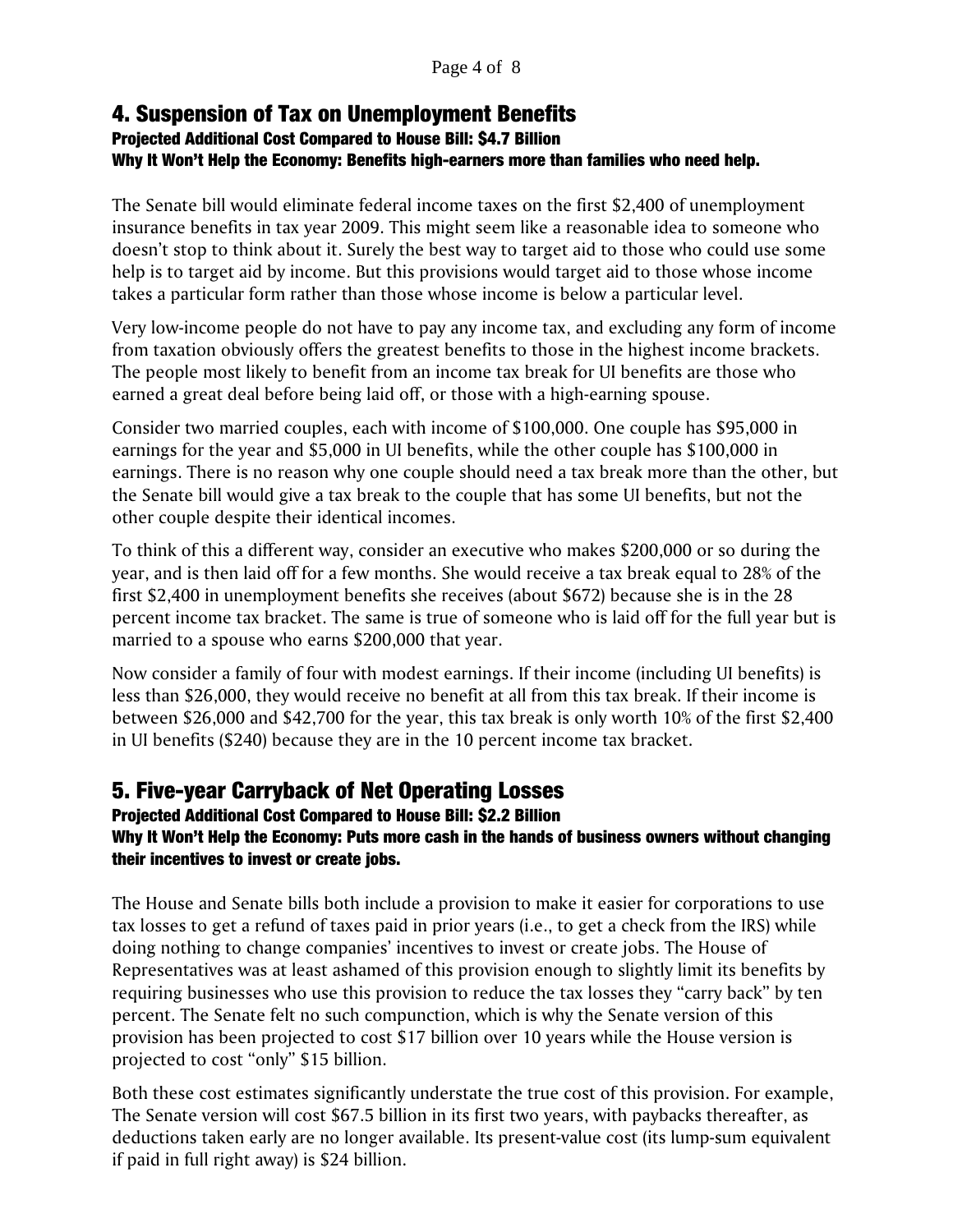### 4. Suspension of Tax on Unemployment Benefits

### Projected Additional Cost Compared to House Bill: \$4.7 Billion Why It Won't Help the Economy: Benefits high-earners more than families who need help.

The Senate bill would eliminate federal income taxes on the first \$2,400 of unemployment insurance benefits in tax year 2009. This might seem like a reasonable idea to someone who doesn't stop to think about it. Surely the best way to target aid to those who could use some help is to target aid by income. But this provisions would target aid to those whose income takes a particular form rather than those whose income is below a particular level.

Very low-income people do not have to pay any income tax, and excluding any form of income from taxation obviously offers the greatest benefits to those in the highest income brackets. The people most likely to benefit from an income tax break for UI benefits are those who earned a great deal before being laid off, or those with a high-earning spouse.

Consider two married couples, each with income of \$100,000. One couple has \$95,000 in earnings for the year and \$5,000 in UI benefits, while the other couple has \$100,000 in earnings. There is no reason why one couple should need a tax break more than the other, but the Senate bill would give a tax break to the couple that has some UI benefits, but not the other couple despite their identical incomes.

To think of this a different way, consider an executive who makes \$200,000 or so during the year, and is then laid off for a few months. She would receive a tax break equal to 28% of the first \$2,400 in unemployment benefits she receives (about \$672) because she is in the 28 percent income tax bracket. The same is true of someone who is laid off for the full year but is married to a spouse who earns \$200,000 that year.

Now consider a family of four with modest earnings. If their income (including UI benefits) is less than \$26,000, they would receive no benefit at all from this tax break. If their income is between \$26,000 and \$42,700 for the year, this tax break is only worth 10% of the first \$2,400 in UI benefits (\$240) because they are in the 10 percent income tax bracket.

## 5. Five-year Carryback of Net Operating Losses

### Projected Additional Cost Compared to House Bill: \$2.2 Billion Why It Won't Help the Economy: Puts more cash in the hands of business owners without changing their incentives to invest or create jobs.

The House and Senate bills both include a provision to make it easier for corporations to use tax losses to get a refund of taxes paid in prior years (i.e., to get a check from the IRS) while doing nothing to change companies' incentives to invest or create jobs. The House of Representatives was at least ashamed of this provision enough to slightly limit its benefits by requiring businesses who use this provision to reduce the tax losses they "carry back" by ten percent. The Senate felt no such compunction, which is why the Senate version of this provision has been projected to cost \$17 billion over 10 years while the House version is projected to cost "only" \$15 billion.

Both these cost estimates significantly understate the true cost of this provision. For example, The Senate version will cost \$67.5 billion in its first two years, with paybacks thereafter, as deductions taken early are no longer available. Its present-value cost (its lump-sum equivalent if paid in full right away) is \$24 billion.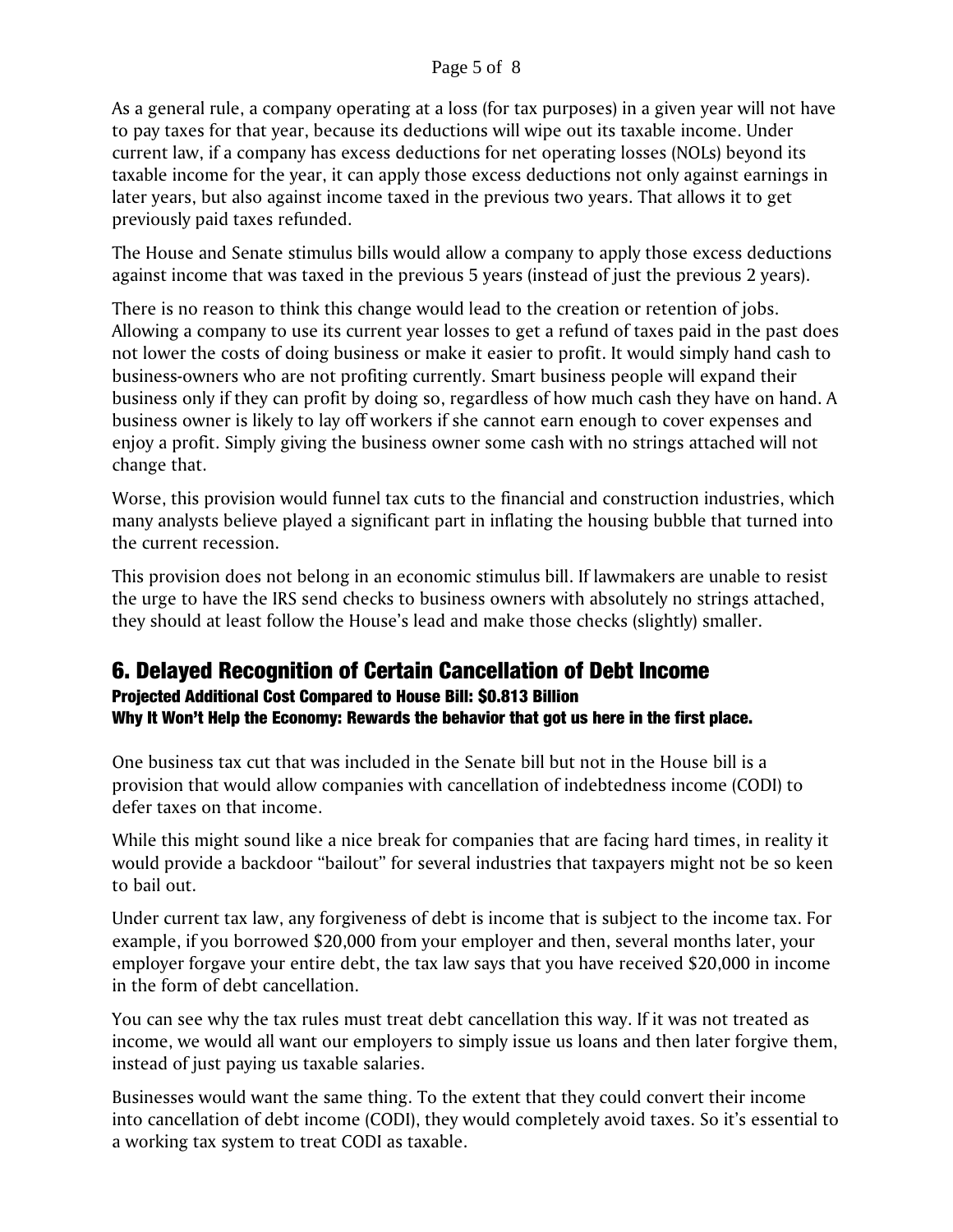As a general rule, a company operating at a loss (for tax purposes) in a given year will not have to pay taxes for that year, because its deductions will wipe out its taxable income. Under current law, if a company has excess deductions for net operating losses (NOLs) beyond its taxable income for the year, it can apply those excess deductions not only against earnings in later years, but also against income taxed in the previous two years. That allows it to get previously paid taxes refunded.

The House and Senate stimulus bills would allow a company to apply those excess deductions against income that was taxed in the previous 5 years (instead of just the previous 2 years).

There is no reason to think this change would lead to the creation or retention of jobs. Allowing a company to use its current year losses to get a refund of taxes paid in the past does not lower the costs of doing business or make it easier to profit. It would simply hand cash to business-owners who are not profiting currently. Smart business people will expand their business only if they can profit by doing so, regardless of how much cash they have on hand. A business owner is likely to lay off workers if she cannot earn enough to cover expenses and enjoy a profit. Simply giving the business owner some cash with no strings attached will not change that.

Worse, this provision would funnel tax cuts to the financial and construction industries, which many analysts believe played a significant part in inflating the housing bubble that turned into the current recession.

This provision does not belong in an economic stimulus bill. If lawmakers are unable to resist the urge to have the IRS send checks to business owners with absolutely no strings attached, they should at least follow the House's lead and make those checks (slightly) smaller.

## 6. Delayed Recognition of Certain Cancellation of Debt Income

Projected Additional Cost Compared to House Bill: \$0.813 Billion Why It Won't Help the Economy: Rewards the behavior that got us here in the first place.

One business tax cut that was included in the Senate bill but not in the House bill is a provision that would allow companies with cancellation of indebtedness income (CODI) to defer taxes on that income.

While this might sound like a nice break for companies that are facing hard times, in reality it would provide a backdoor "bailout" for several industries that taxpayers might not be so keen to bail out.

Under current tax law, any forgiveness of debt is income that is subject to the income tax. For example, if you borrowed \$20,000 from your employer and then, several months later, your employer forgave your entire debt, the tax law says that you have received \$20,000 in income in the form of debt cancellation.

You can see why the tax rules must treat debt cancellation this way. If it was not treated as income, we would all want our employers to simply issue us loans and then later forgive them, instead of just paying us taxable salaries.

Businesses would want the same thing. To the extent that they could convert their income into cancellation of debt income (CODI), they would completely avoid taxes. So it's essential to a working tax system to treat CODI as taxable.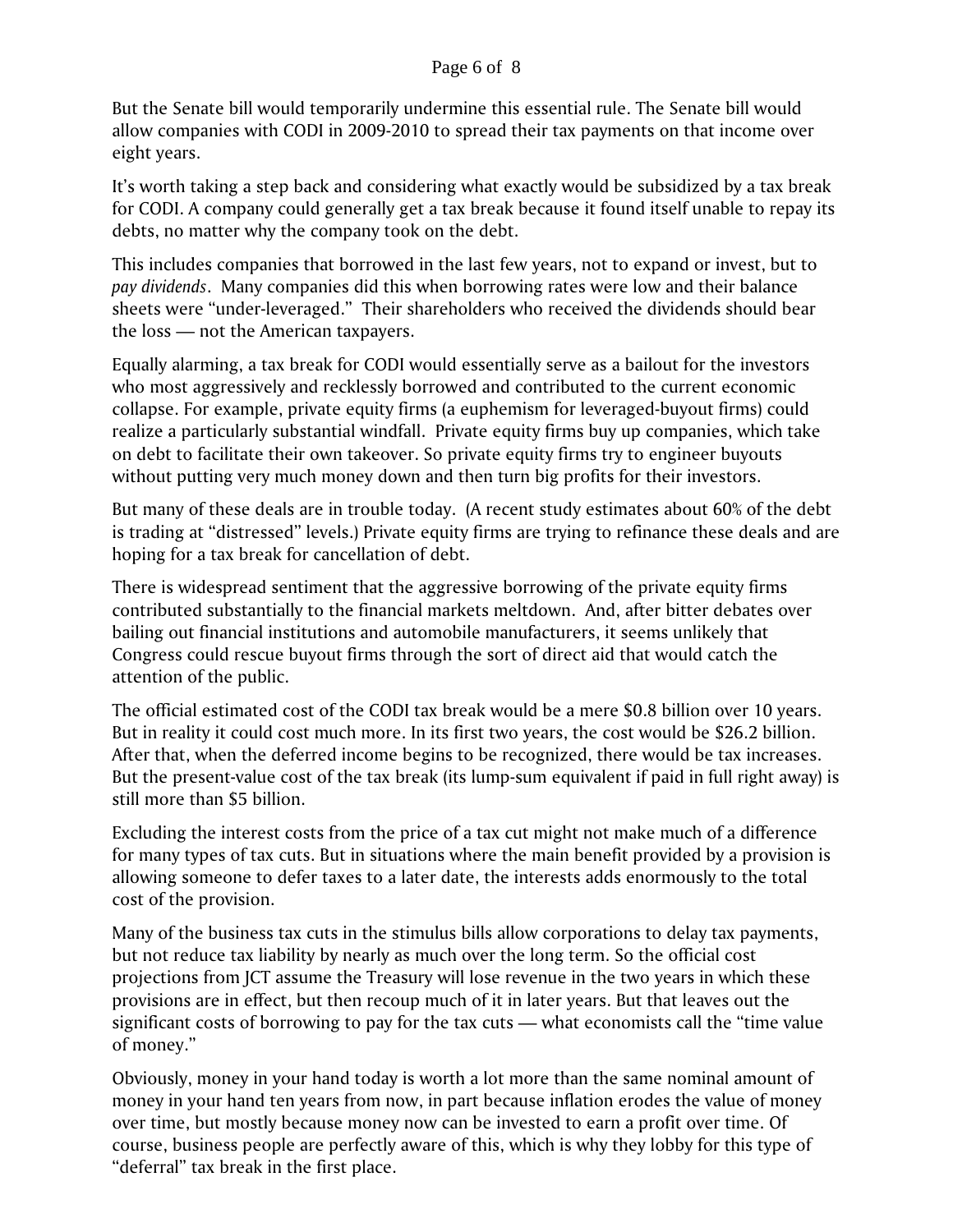#### Page 6 of 8

But the Senate bill would temporarily undermine this essential rule. The Senate bill would allow companies with CODI in 2009-2010 to spread their tax payments on that income over eight years.

It's worth taking a step back and considering what exactly would be subsidized by a tax break for CODI. A company could generally get a tax break because it found itself unable to repay its debts, no matter why the company took on the debt.

This includes companies that borrowed in the last few years, not to expand or invest, but to *pay dividends*. Many companies did this when borrowing rates were low and their balance sheets were "under-leveraged." Their shareholders who received the dividends should bear the loss — not the American taxpayers.

Equally alarming, a tax break for CODI would essentially serve as a bailout for the investors who most aggressively and recklessly borrowed and contributed to the current economic collapse. For example, private equity firms (a euphemism for leveraged-buyout firms) could realize a particularly substantial windfall. Private equity firms buy up companies, which take on debt to facilitate their own takeover. So private equity firms try to engineer buyouts without putting very much money down and then turn big profits for their investors.

But many of these deals are in trouble today. (A recent study estimates about 60% of the debt is trading at "distressed" levels.) Private equity firms are trying to refinance these deals and are hoping for a tax break for cancellation of debt.

There is widespread sentiment that the aggressive borrowing of the private equity firms contributed substantially to the financial markets meltdown. And, after bitter debates over bailing out financial institutions and automobile manufacturers, it seems unlikely that Congress could rescue buyout firms through the sort of direct aid that would catch the attention of the public.

The official estimated cost of the CODI tax break would be a mere \$0.8 billion over 10 years. But in reality it could cost much more. In its first two years, the cost would be \$26.2 billion. After that, when the deferred income begins to be recognized, there would be tax increases. But the present-value cost of the tax break (its lump-sum equivalent if paid in full right away) is still more than \$5 billion.

Excluding the interest costs from the price of a tax cut might not make much of a difference for many types of tax cuts. But in situations where the main benefit provided by a provision is allowing someone to defer taxes to a later date, the interests adds enormously to the total cost of the provision.

Many of the business tax cuts in the stimulus bills allow corporations to delay tax payments, but not reduce tax liability by nearly as much over the long term. So the official cost projections from JCT assume the Treasury will lose revenue in the two years in which these provisions are in effect, but then recoup much of it in later years. But that leaves out the significant costs of borrowing to pay for the tax cuts — what economists call the "time value of money."

Obviously, money in your hand today is worth a lot more than the same nominal amount of money in your hand ten years from now, in part because inflation erodes the value of money over time, but mostly because money now can be invested to earn a profit over time. Of course, business people are perfectly aware of this, which is why they lobby for this type of "deferral" tax break in the first place.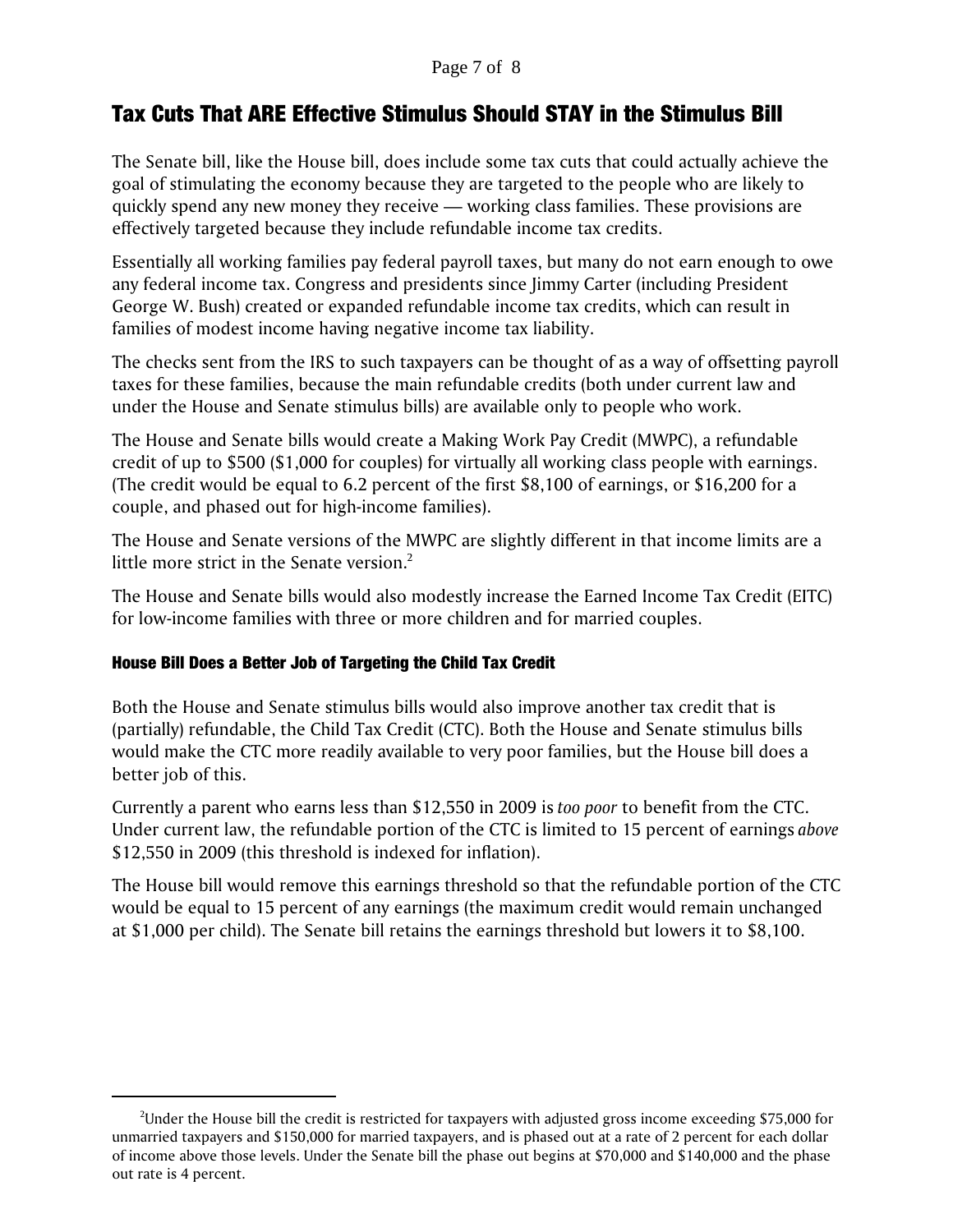#### Page 7 of 8

## Tax Cuts That ARE Effective Stimulus Should STAY in the Stimulus Bill

The Senate bill, like the House bill, does include some tax cuts that could actually achieve the goal of stimulating the economy because they are targeted to the people who are likely to quickly spend any new money they receive — working class families. These provisions are effectively targeted because they include refundable income tax credits.

Essentially all working families pay federal payroll taxes, but many do not earn enough to owe any federal income tax. Congress and presidents since Jimmy Carter (including President George W. Bush) created or expanded refundable income tax credits, which can result in families of modest income having negative income tax liability.

The checks sent from the IRS to such taxpayers can be thought of as a way of offsetting payroll taxes for these families, because the main refundable credits (both under current law and under the House and Senate stimulus bills) are available only to people who work.

The House and Senate bills would create a Making Work Pay Credit (MWPC), a refundable credit of up to \$500 (\$1,000 for couples) for virtually all working class people with earnings. (The credit would be equal to 6.2 percent of the first \$8,100 of earnings, or \$16,200 for a couple, and phased out for high-income families).

The House and Senate versions of the MWPC are slightly different in that income limits are a little more strict in the Senate version. $2$ 

The House and Senate bills would also modestly increase the Earned Income Tax Credit (EITC) for low-income families with three or more children and for married couples.

### House Bill Does a Better Job of Targeting the Child Tax Credit

Both the House and Senate stimulus bills would also improve another tax credit that is (partially) refundable, the Child Tax Credit (CTC). Both the House and Senate stimulus bills would make the CTC more readily available to very poor families, but the House bill does a better job of this.

Currently a parent who earns less than \$12,550 in 2009 is *too poor* to benefit from the CTC. Under current law, the refundable portion of the CTC is limited to 15 percent of earnings *above* \$12,550 in 2009 (this threshold is indexed for inflation).

The House bill would remove this earnings threshold so that the refundable portion of the CTC would be equal to 15 percent of any earnings (the maximum credit would remain unchanged at \$1,000 per child). The Senate bill retains the earnings threshold but lowers it to \$8,100.

 $^2$ Under the House bill the credit is restricted for taxpayers with adjusted gross income exceeding \$75,000 for unmarried taxpayers and \$150,000 for married taxpayers, and is phased out at a rate of 2 percent for each dollar of income above those levels. Under the Senate bill the phase out begins at \$70,000 and \$140,000 and the phase out rate is 4 percent.